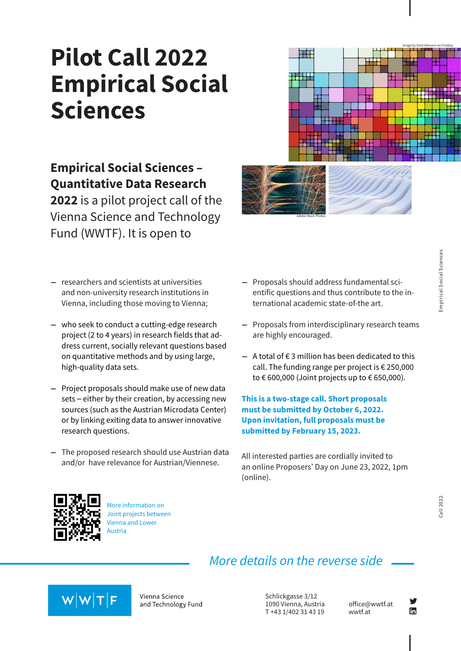# **Pilot Call 2022 Empirical Social Sciences**

### **Empirical Social Sciences – Quantitative Data Research**

**2022** is a pilot project call of the Vienna Science and Technology Fund (WWTF). It is open to

- - **Empirical Social Sciences** Empirical Social Sciences

Image by Gerd Altmann on Pixabay

- **–** researchers and scientists at universities and non-university research institutions in Vienna, including those moving to Vienna;
- **–** who seek to conduct a cutting-edge research project (2 to 4 years) in research fields that address current, socially relevant questions based on quantitative methods and by using large, high-quality data sets.
- **–** Project proposals should make use of new data sets – either by their creation, by accessing new sources (such as the Austrian Microdata Center) or by linking exiting data to answer innovative research questions.
- **–** The proposed research should use Austrian data and/or have relevance for Austrian/Viennese.

**–** Proposals should address fundamental scientific questions and thus contribute to the international academic state-of-the art.

Adobe Stock Photos

- **–** Proposals from interdisciplinary research teams are highly encouraged.
- **–** A total of € 3 million has been dedicated to this call. The funding range per project is € 250,000 to  $\epsilon$  600,000 (Joint projects up to  $\epsilon$  650,000).

**This is a two-stage call. Short proposals must be submitted by October 6, 2022. Upon invitation, full proposals must be submitted by February 15, 2023.**

All interested parties are cordially invited to an online Proposers' Day on June 23, 2022, 1pm (online).



More information on [Joint projects between](https://www.wwtf.at/funding/our-principles/downloads/noe-joint-projects/index.php?lang=EN) Vienna and Lower Austria

### *More details on the reverse side*



Vienna Science and Technology Fund

Schlickgasse 3/12 1090 Vienna, Austria T +43 1/402 31 43 19

[office@wwtf.at](mailto:office@wwtf.at) [wwtf.at](https://www.wwtf.at/)